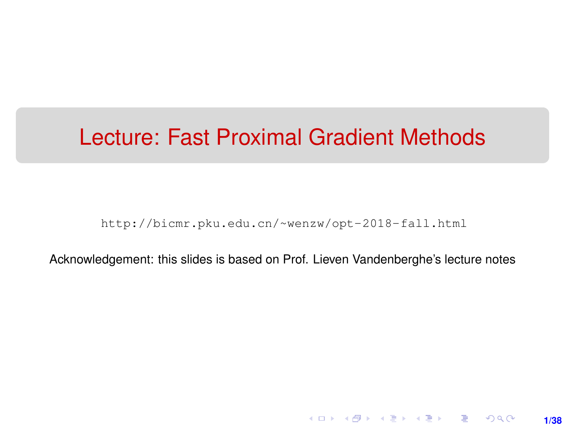# <span id="page-0-0"></span>Lecture: Fast Proximal Gradient Methods

[http://bicmr.pku.edu.cn/~wenzw/opt-2018-fall.html](http://bicmr.pku.edu.cn/~wenzw/opt-2018-fall.html )

Acknowledgement: this slides is based on Prof. Lieven Vandenberghe's lecture notes

**1/38**

K ロ ▶ K 레 ▶ K 호 ▶ K 호 ▶ → 호 → 900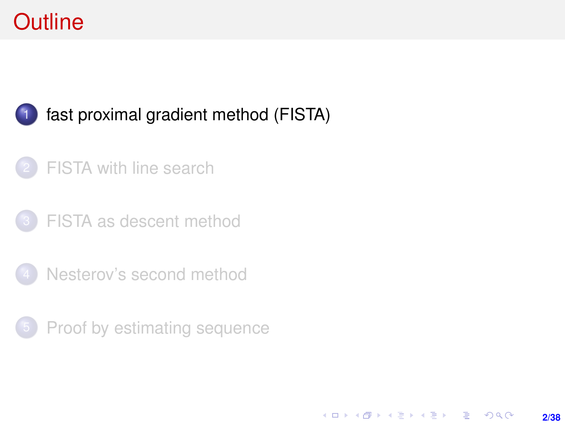# <span id="page-1-0"></span>**Outline**

### [fast proximal gradient method \(FISTA\)](#page-1-0)

### [FISTA with line search](#page-15-0)

- [FISTA as descent method](#page-22-0)
- [Nesterov's second method](#page-25-0)
- **[Proof by estimating sequence](#page-32-0)**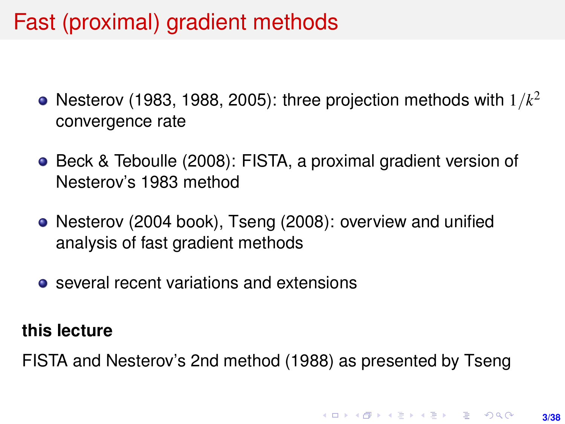# Fast (proximal) gradient methods

- Nesterov (1983, 1988, 2005): three projection methods with 1/*k* 2 convergence rate
- Beck & Teboulle (2008): FISTA, a proximal gradient version of Nesterov's 1983 method
- Nesterov (2004 book), Tseng (2008): overview and unified analysis of fast gradient methods
- several recent variations and extensions

#### **this lecture**

FISTA and Nesterov's 2nd method (1988) as presented by Tseng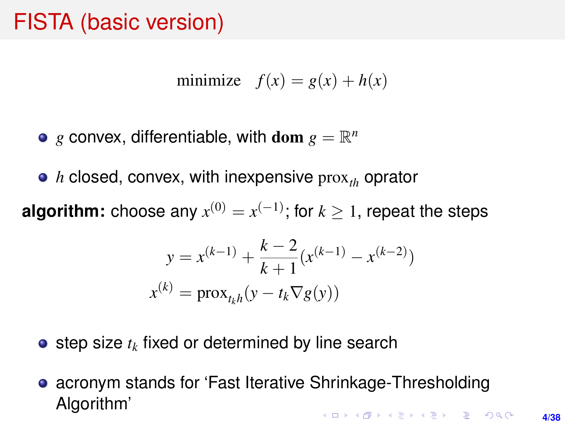# <span id="page-3-0"></span>FISTA (basic version)

$$
minimize \t f(x) = g(x) + h(x)
$$

- $g$  convex, differentiable, with  $dom g = \mathbb{R}^n$
- *h* closed, convex, with inexpensive prox<sub>th</sub> oprator

**algorithm:** choose any  $x^{(0)} = x^{(-1)}$ ; for  $k \geq 1$ , repeat the steps

$$
y = x^{(k-1)} + \frac{k-2}{k+1} (x^{(k-1)} - x^{(k-2)})
$$

$$
x^{(k)} = \text{prox}_{t_k h}(y - t_k \nabla g(y))
$$

- $\bullet$  step size  $t_k$  fixed or determined by line search
- acronym stands for 'Fast Iterative Shrinkage-Thresholding Algorithm'**KORKAR KERKER E VOOR**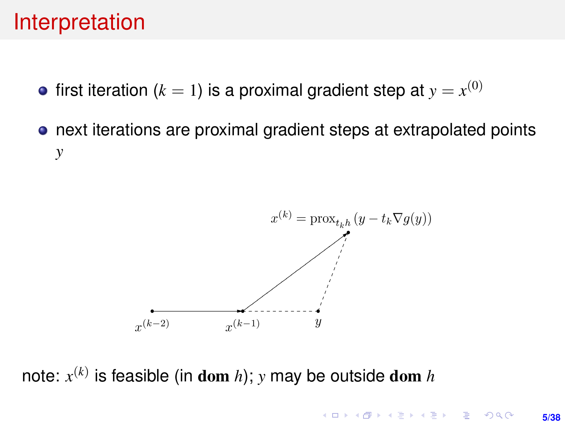### Interpretation

- first iteration ( $k=1$ ) is a proximal gradient step at  $y=x^{(0)}$
- next iterations are proximal gradient steps at extrapolated points *y*



note: *x* (*k*) is feasible (in dom *h*); *y* may be outside dom *h*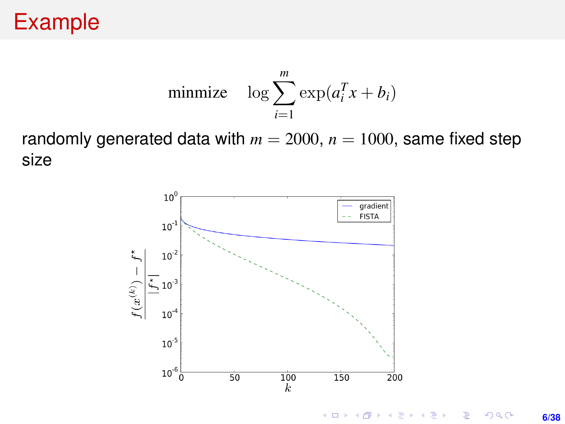# Example

$$
\text{minimize} \quad \log \sum_{i=1}^{m} \exp(a_i^T x + b_i)
$$

randomly generated data with  $m = 2000$ ,  $n = 1000$ , same fixed step size

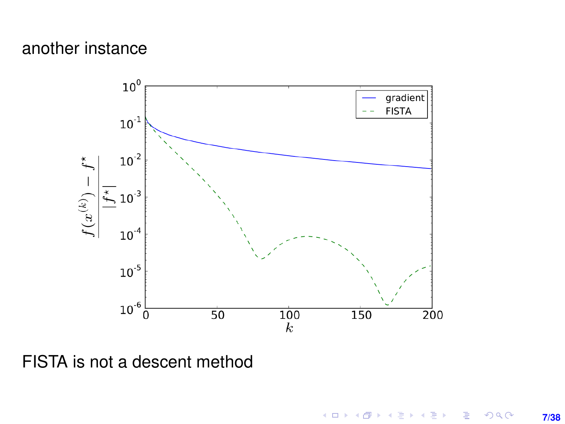### <span id="page-6-0"></span>another instance



FISTA is not a descent method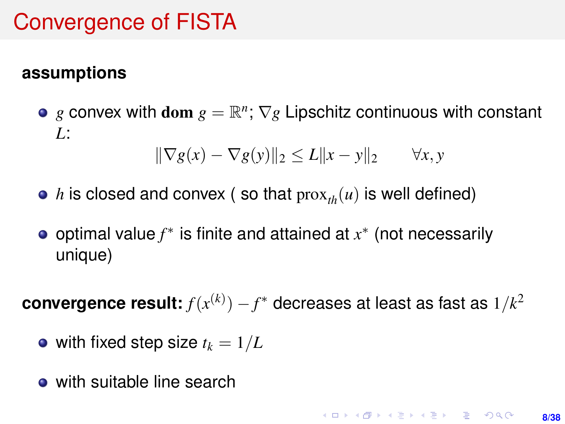# Convergence of FISTA

#### **assumptions**

*g* convex with dom  $g = \mathbb{R}^n$ ;  $\nabla g$  Lipschitz continuous with constant *L*:

$$
\|\nabla g(x) - \nabla g(y)\|_2 \le L\|x - y\|_2 \qquad \forall x, y
$$

- *h* is closed and convex (so that  $prox_{th}(u)$  is well defined)
- optimal value *f* ∗ is finite and attained at *x* ∗ (not necessarily unique)

 $\,$  convergence result:  $f(x^{(k)}) - f^*$  decreases at least as fast as  $1/k^2$ 

- with fixed step size  $t_k = 1/L$
- with suitable line search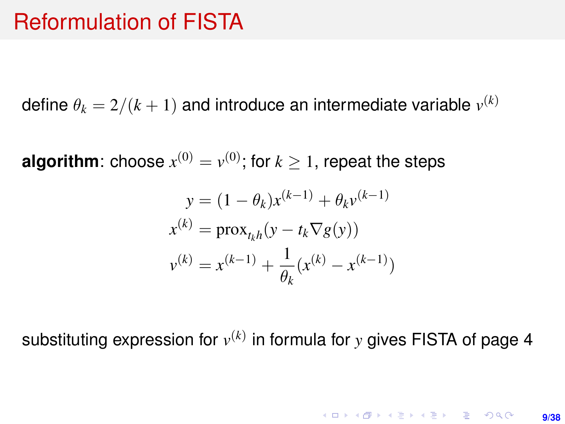### Reformulation of FISTA

<span id="page-8-0"></span>define  $\theta_k = 2/(k+1)$  and introduce an intermediate variable  $v^{(k)}$ 

**algorithm**: choose  $x^{(0)} = v^{(0)}$ ; for  $k \geq 1$ , repeat the steps

$$
y = (1 - \theta_k)x^{(k-1)} + \theta_k v^{(k-1)}
$$
  

$$
x^{(k)} = \text{prox}_{t_k h}(y - t_k \nabla g(y))
$$
  

$$
v^{(k)} = x^{(k-1)} + \frac{1}{\theta_k}(x^{(k)} - x^{(k-1)})
$$

substituting expression for *v* (*k*) in formula for *y* gives FISTA of page [4](#page-3-0)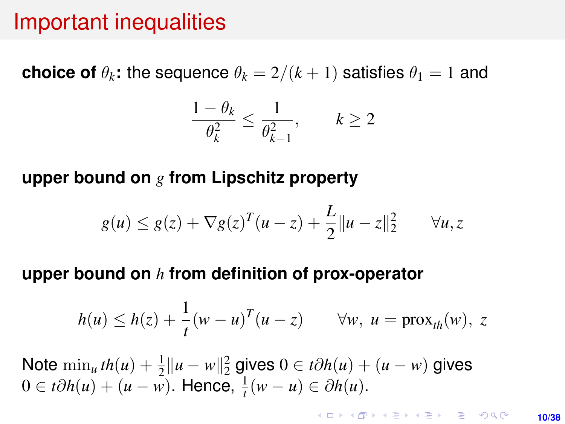### Important inequalities

<span id="page-9-0"></span>**choice of**  $\theta_k$ **:** the sequence  $\theta_k = 2/(k+1)$  satisfies  $\theta_1 = 1$  and

$$
\frac{1-\theta_k}{\theta_k^2} \le \frac{1}{\theta_{k-1}^2}, \qquad k \ge 2
$$

#### **upper bound on** *g* **from Lipschitz property**

$$
g(u) \le g(z) + \nabla g(z)^T (u - z) + \frac{L}{2} ||u - z||_2^2 \quad \forall u, z
$$

#### **upper bound on** *h* **from definition of prox-operator**

$$
h(u) \leq h(z) + \frac{1}{t}(w - u)^T (u - z) \qquad \forall w, \ u = \text{prox}_{th}(w), \ z
$$

Note  $\min_u th(u) + \frac{1}{2} ||u - w||_2^2$  gives  $0 ∈ t∂h(u) + (u - w)$  gives 0 ∈ *t* $\partial h(u) + (u - \overline{w})$ . Hence,  $\frac{1}{t}(w - u) \in \partial h(u)$ .

> **KORKARK A BIK BIKA A GA A GA A GA A BIKA A BIKA A BIKA A BIKA A BIKA A BIKA A BIKA A BIKA A BIKA A BIKA A BIKA 10/38**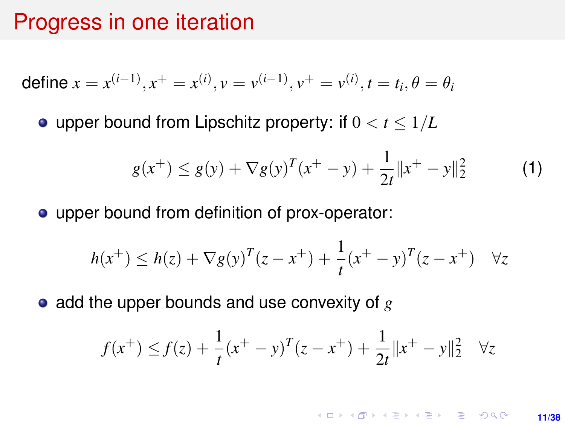### Progress in one iteration

<span id="page-10-0"></span>define 
$$
x = x^{(i-1)}, x^+ = x^{(i)}, v = v^{(i-1)}, v^+ = v^{(i)}, t = t_i, \theta = \theta_i
$$

• upper bound from Lipschitz property: if  $0 < t < 1/L$ 

$$
g(x^{+}) \le g(y) + \nabla g(y)^{T}(x^{+} - y) + \frac{1}{2t}||x^{+} - y||_{2}^{2}
$$
 (1)

upper bound from definition of prox-operator:

$$
h(x^{+}) \leq h(z) + \nabla g(y)^{T} (z - x^{+}) + \frac{1}{t} (x^{+} - y)^{T} (z - x^{+}) \quad \forall z
$$

• add the upper bounds and use convexity of  $g$ 

$$
f(x^{+}) \le f(z) + \frac{1}{t}(x^{+} - y)^{T}(z - x^{+}) + \frac{1}{2t}||x^{+} - y||_{2}^{2} \quad \forall z
$$

**KORKARK KERKER DRAM 11/38**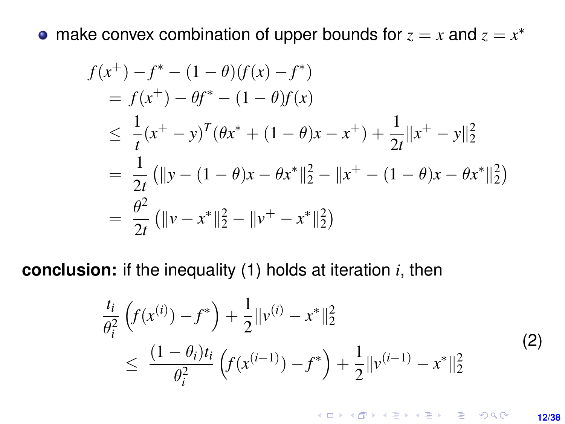<span id="page-11-0"></span>make convex combination of upper bounds for  $z = x$  and  $z = x^*$ 

$$
f(x^{+}) - f^{*} - (1 - \theta)(f(x) - f^{*})
$$
  
=  $f(x^{+}) - \theta f^{*} - (1 - \theta)f(x)$   

$$
\leq \frac{1}{t}(x^{+} - y)^{T}(\theta x^{*} + (1 - \theta)x - x^{+}) + \frac{1}{2t}||x^{+} - y||_{2}^{2}
$$
  
=  $\frac{1}{2t} (||y - (1 - \theta)x - \theta x^{*}||_{2}^{2} - ||x^{+} - (1 - \theta)x - \theta x^{*}||_{2}^{2})$   
=  $\frac{\theta^{2}}{2t} (||v - x^{*}||_{2}^{2} - ||v^{+} - x^{*}||_{2}^{2})$ 

**conclusion:** if the inequality (1) holds at iteration *i*, then

$$
\frac{t_i}{\theta_i^2} \left( f(x^{(i)}) - f^* \right) + \frac{1}{2} \| v^{(i)} - x^* \|_2^2
$$
\n
$$
\leq \frac{(1 - \theta_i)t_i}{\theta_i^2} \left( f(x^{(i-1)}) - f^* \right) + \frac{1}{2} \| v^{(i-1)} - x^* \|_2^2
$$
\n(2)

K ロ ▶ K @ ▶ K 할 ▶ K 할 ▶ 이 할 → 9 Q @ **12/38**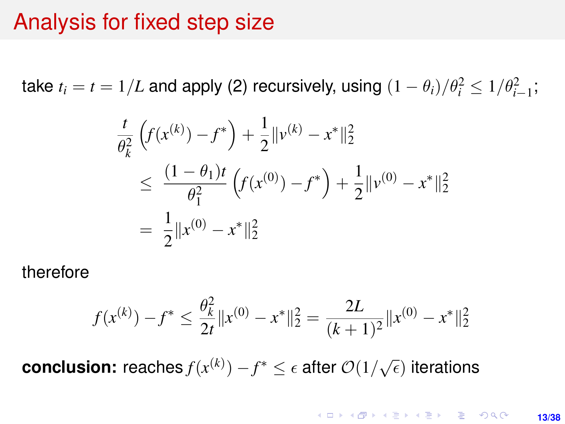### Analysis for fixed step size

take  $t_i = t = 1/L$  and apply (2) recursively, using  $(1 - \theta_i)/\theta_i^2 \leq 1/\theta_{i-1}^2;$ 

$$
\frac{t}{\theta_k^2} \left( f(x^{(k)}) - f^* \right) + \frac{1}{2} \| v^{(k)} - x^* \|_2^2
$$
\n
$$
\leq \frac{(1 - \theta_1)t}{\theta_1^2} \left( f(x^{(0)}) - f^* \right) + \frac{1}{2} \| v^{(0)} - x^* \|_2^2
$$
\n
$$
= \frac{1}{2} \| x^{(0)} - x^* \|_2^2
$$

therefore

$$
f(x^{(k)}) - f^* \le \frac{\theta_k^2}{2t} \|x^{(0)} - x^*\|_2^2 = \frac{2L}{(k+1)^2} \|x^{(0)} - x^*\|_2^2
$$

**conclusion:** reaches  $f(x^{(k)}) - f^* \leq \epsilon$  after  $\mathcal{O}(1/\sqrt{\epsilon})$  iterations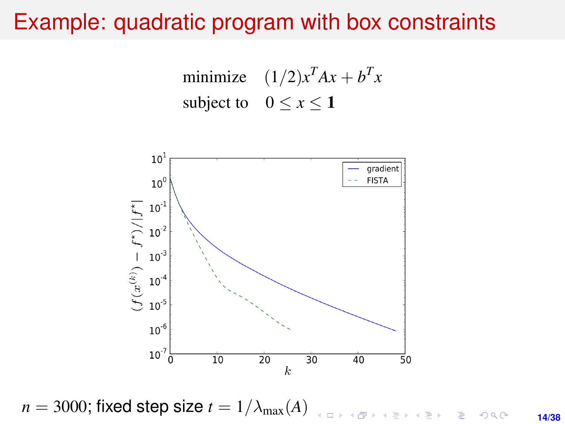### <span id="page-13-0"></span>Example: quadratic program with box constraints

minimize  $(1/2)x^T Ax + b^T x$ subject to  $0 \le x \le 1$ 



 $n = 3000$ ; fixed step size  $t = 1/\lambda_{\text{max}}(A)$  $\Rightarrow$  $299$ **14/38**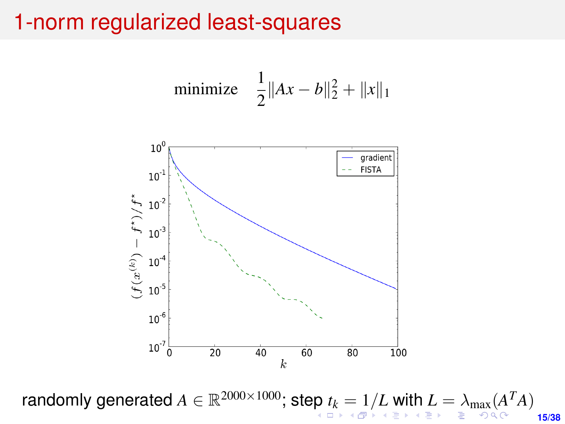### <span id="page-14-0"></span>1-norm regularized least-squares

minimize 
$$
\frac{1}{2} ||Ax - b||_2^2 + ||x||_1
$$



**15/38** rando[m](#page-37-0)ly generated  $A \in \mathbb{R}^{2000 \times 1000}$  $A \in \mathbb{R}^{2000 \times 1000}$  $A \in \mathbb{R}^{2000 \times 1000}$ ; st[ep](#page-13-0)  $t_k = 1/L$  $t_k = 1/L$  $t_k = 1/L$  $t_k = 1/L$  $t_k = 1/L$  $t_k = 1/L$  $t_k = 1/L$  [wit](#page-37-0)[h](#page-0-0)  $L = \lambda_{\max}(A^TA)$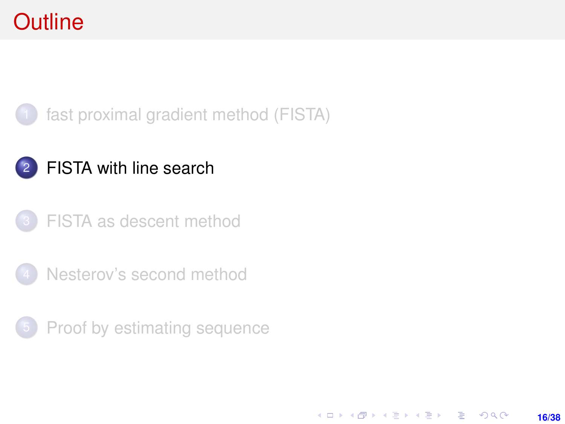# <span id="page-15-0"></span>**Outline**



### 2 [FISTA with line search](#page-15-0)

- [FISTA as descent method](#page-22-0)
- [Nesterov's second method](#page-25-0)
- **[Proof by estimating sequence](#page-32-0)**

**16/38**

KO KARK KEK LE KORA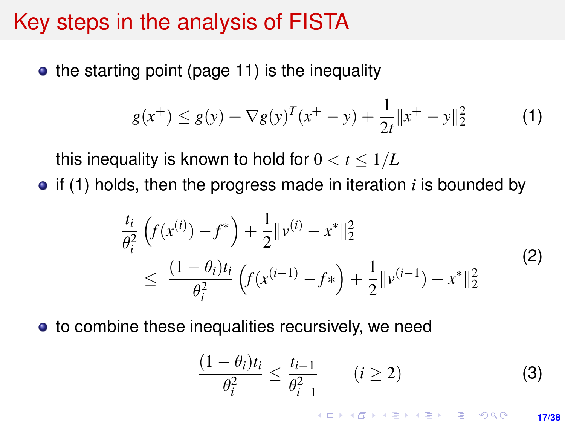### Key steps in the analysis of FISTA

 $\bullet$  the starting point (page [11\)](#page-10-0) is the inequality

$$
g(x^{+}) \le g(y) + \nabla g(y)^{T}(x^{+} - y) + \frac{1}{2t}||x^{+} - y||_{2}^{2}
$$
 (1)

this inequality is known to hold for  $0 < t \leq 1/L$ 

 $\bullet$  if (1) holds, then the progress made in iteration *i* is bounded by

$$
\frac{t_i}{\theta_i^2} \left( f(x^{(i)}) - f^* \right) + \frac{1}{2} \| v^{(i)} - x^* \|_2^2
$$
\n
$$
\leq \frac{(1 - \theta_i)t_i}{\theta_i^2} \left( f(x^{(i-1)} - f^*) + \frac{1}{2} \| v^{(i-1)} - x^* \|_2^2 \right)
$$
\n(2)

• to combine these inequalities recursively, we need

$$
\frac{(1-\theta_i)t_i}{\theta_i^2} \le \frac{t_{i-1}}{\theta_{i-1}^2} \qquad (i \ge 2)
$$
 (3)

**KORKARK A BIK BIKA A GA A GA A GA A BIKA A BIKA A BIKA A BIKA A BIKA A BIKA A BIKA A BIKA A BIKA A BIKA A BIKA 17/38**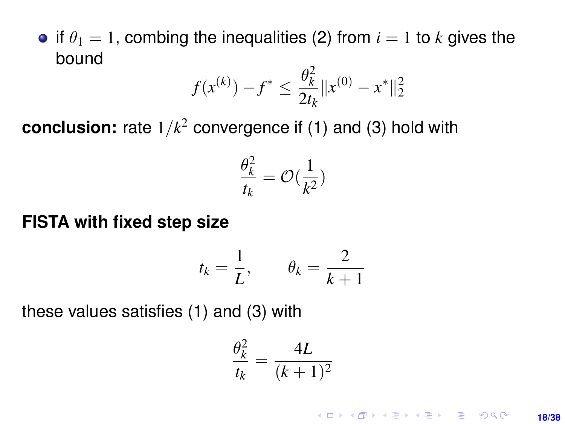<span id="page-17-0"></span>• if  $\theta_1 = 1$ , combing the inequalities (2) from  $i = 1$  to k gives the bound

$$
f(x^{(k)}) - f^* \le \frac{\theta_k^2}{2t_k} \|x^{(0)} - x^*\|_2^2
$$

**conclusion:** rate 1/*k* <sup>2</sup> convergence if (1) and (3) hold with

$$
\frac{\theta_k^2}{t_k} = \mathcal{O}(\frac{1}{k^2})
$$

#### **FISTA with fixed step size**

$$
t_k = \frac{1}{L}, \qquad \theta_k = \frac{2}{k+1}
$$

these values satisfies (1) and (3) with

$$
\frac{\theta_k^2}{t_k} = \frac{4L}{(k+1)^2}
$$

KO KKO KABIKA BIKA 2000 **18/38**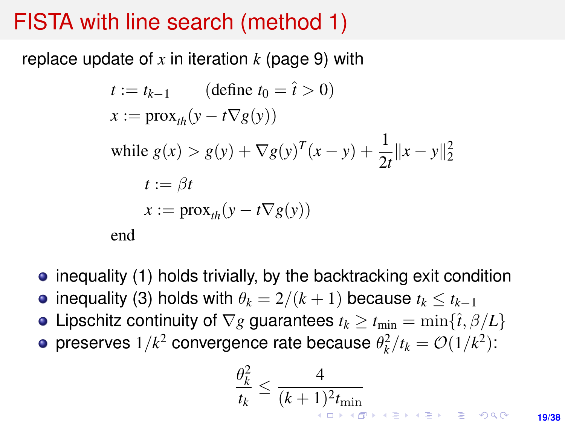### <span id="page-18-0"></span>FISTA with line search (method 1)

replace update of *x* in iteration *k* (page [9\)](#page-8-0) with

$$
t := t_{k-1} \qquad (\text{define } t_0 = \hat{t} > 0)
$$
  
\n
$$
x := \text{prox}_{th}(y - t\nabla g(y))
$$
  
\nwhile  $g(x) > g(y) + \nabla g(y)^T (x - y) + \frac{1}{2t} ||x - y||_2^2$   
\n
$$
t := \beta t
$$
  
\n
$$
x := \text{prox}_{th}(y - t\nabla g(y))
$$
  
\nend

- inequality (1) holds trivially, by the backtracking exit condition
- inequality (3) holds with  $\theta_k = 2/(k+1)$  because  $t_k \le t_{k-1}$
- Lipschitz continuity of  $\nabla g$  quarantees  $t_k > t_{\min} = \min\{\hat{t}, \beta/L\}$
- preserves  $1/k^2$  convergence rate because  $\theta_k^2/t_k = \mathcal{O}(1/k^2)$ :

$$
\frac{\theta_k^2}{t_k} \le \frac{4}{(k+1)^2 t_{\min}}\Big|_{\frac{1}{t_k} \le \frac{1}{t_k} \le \frac{1}{t_k} \le \frac{1}{t_k} \le \frac{1}{t_k} \le \frac{1}{t_k} \le \frac{1}{t_k} \le \frac{1}{t_k} \le \frac{1}{t_k} \le \frac{1}{t_k} \le \frac{1}{t_k} \le \frac{1}{t_k} \le \frac{1}{t_k} \le \frac{1}{t_k} \le \frac{1}{t_k} \le \frac{1}{t_k} \le \frac{1}{t_k} \le \frac{1}{t_k} \le \frac{1}{t_k} \le \frac{1}{t_k} \le \frac{1}{t_k} \le \frac{1}{t_k} \le \frac{1}{t_k} \le \frac{1}{t_k} \le \frac{1}{t_k} \le \frac{1}{t_k} \le \frac{1}{t_k} \le \frac{1}{t_k} \le \frac{1}{t_k} \le \frac{1}{t_k} \le \frac{1}{t_k} \le \frac{1}{t_k} \le \frac{1}{t_k} \le \frac{1}{t_k} \le \frac{1}{t_k} \le \frac{1}{t_k} \le \frac{1}{t_k} \le \frac{1}{t_k} \le \frac{1}{t_k} \le \frac{1}{t_k} \le \frac{1}{t_k} \le \frac{1}{t_k} \le \frac{1}{t_k} \le \frac{1}{t_k} \le \frac{1}{t_k} \le \frac{1}{t_k} \le \frac{1}{t_k} \le \frac{1}{t_k} \le \frac{1}{t_k} \le \frac{1}{t_k} \le \frac{1}{t_k} \le \frac{1}{t_k} \le \frac{1}{t_k} \le \frac{1}{t_k} \le \frac{1}{t_k} \le \frac{1}{t_k} \le \frac{1}{t_k} \le \frac{1}{t_k} \le \frac{1}{t_k} \le \frac{1}{t_k} \le \frac{1}{t_k} \le \frac{1}{t_k} \le \frac{1}{t_k} \le \frac{1}{t_k} \le \frac{1}{t_k} \le \frac{1}{t_k} \le \frac{1}{t_k} \le \frac{1}{t_k} \le \frac{1}{t_k} \le \frac{1}{t_k} \le \frac{1}{t_k} \le \frac{1}{t_k} \le \frac{1}{t_k
$$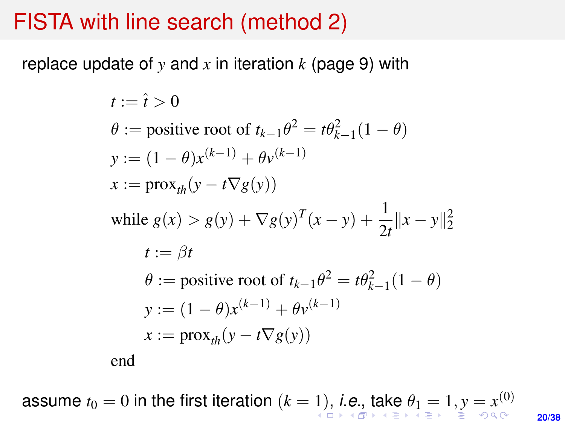### <span id="page-19-0"></span>FISTA with line search (method 2)

replace update of *y* and *x* in iteration *k* (page [9\)](#page-8-0) with

$$
t := \hat{t} > 0
$$
  
\n
$$
\theta := \text{positive root of } t_{k-1}\theta^2 = t\theta_{k-1}^2(1-\theta)
$$
  
\n
$$
y := (1-\theta)x^{(k-1)} + \theta y^{(k-1)}
$$
  
\n
$$
x := \text{prox}_{th}(y - t\nabla g(y))
$$
  
\nwhile  $g(x) > g(y) + \nabla g(y)^T(x - y) + \frac{1}{2t} ||x - y||_2^2$   
\n
$$
t := \beta t
$$
  
\n
$$
\theta := \text{positive root of } t_{k-1}\theta^2 = t\theta_{k-1}^2(1-\theta)
$$
  
\n
$$
y := (1-\theta)x^{(k-1)} + \theta y^{(k-1)}
$$
  
\n
$$
x := \text{prox}_{th}(y - t\nabla g(y))
$$
  
\nend

**20/38** assum[e](#page-37-0)  $t_0=0$  $t_0=0$  $t_0=0$  in [t](#page-20-0)he first iteration  $(k=1),$  $(k=1),$  $(k=1),$  $(k=1),$  *[i.](#page-20-0)e[.](#page-19-0)*, t[ak](#page-0-0)e  $\theta_1=1, y=x^{(0)}$  $\theta_1=1, y=x^{(0)}$  $\theta_1=1, y=x^{(0)}$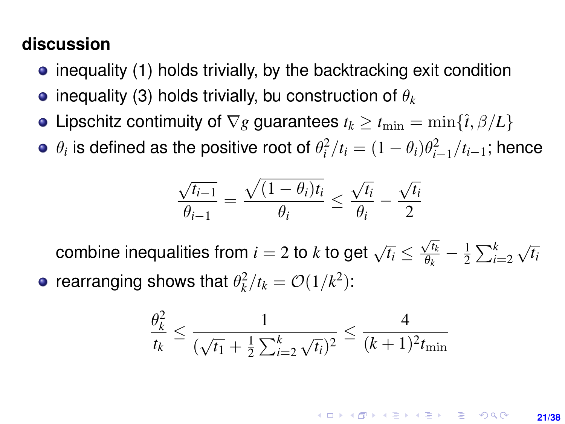### <span id="page-20-0"></span>**discussion**

- $\bullet$  inequality (1) holds trivially, by the backtracking exit condition
- $\bullet$  inequality (3) holds trivially, bu construction of  $\theta_k$
- Lipschitz contimuity of  $\nabla g$  guarantees  $t_k \geq t_{\min} = \min\{\hat{t}, \beta/L\}$
- $\theta_i$  is defined as the positive root of  $\theta_i^2/t_i = (1-\theta_i)\theta_{i-1}^2/t_{i-1}$ ; hence

$$
\frac{\sqrt{t_{i-1}}}{\theta_{i-1}} = \frac{\sqrt{(1-\theta_i)t_i}}{\theta_i} \le \frac{\sqrt{t_i}}{\theta_i} - \frac{\sqrt{t_i}}{2}
$$

combine inequalities from  $i = 2$  to  $k$  to get  $\sqrt{t_i} \leq$  $\sqrt{t_k}$  $\frac{\sqrt{t_k}}{\theta_k}-\frac{1}{2}$  $\frac{1}{2} \sum_{i=2}^{k}$ √ *ti*

rearranging shows that  $\theta_k^2/t_k = \mathcal{O}(1/k^2)$ :

$$
\frac{\theta_k^2}{t_k} \le \frac{1}{(\sqrt{t_1} + \frac{1}{2}\sum_{i=2}^k \sqrt{t_i})^2} \le \frac{4}{(k+1)^2 t_{\min}}
$$

**KORKARK A BIK BIKA A GA A GA A GA A BIKA A BIKA A BIKA A BIKA A BIKA A BIKA A BIKA A BIKA A BIKA A BIKA A BIKA 21/38**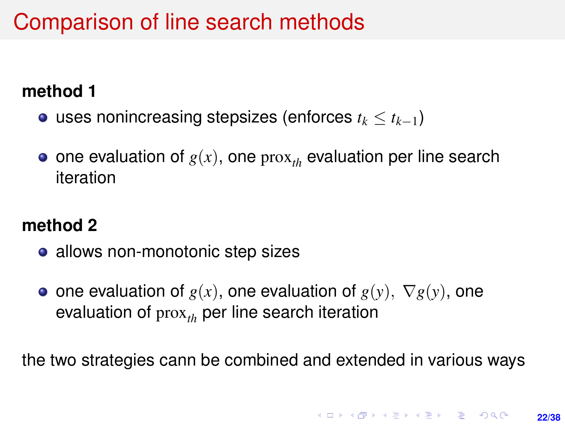# Comparison of line search methods

### **method 1**

- uses nonincreasing stepsizes (enforces *t<sup>k</sup>* ≤ *tk*−1)
- $\bullet$  one evaluation of  $g(x)$ , one prox<sub>th</sub> evaluation per line search iteration

### **method 2**

- allows non-monotonic step sizes
- one evaluation of  $g(x)$ , one evaluation of  $g(y)$ ,  $\nabla g(y)$ , one evaluation of prox<sub>th</sub> per line search iteration

the two strategies cann be combined and extended in various ways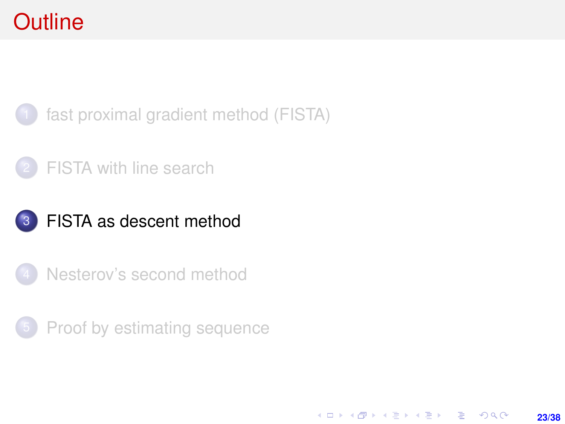# <span id="page-22-0"></span>**Outline**



### [FISTA with line search](#page-15-0)





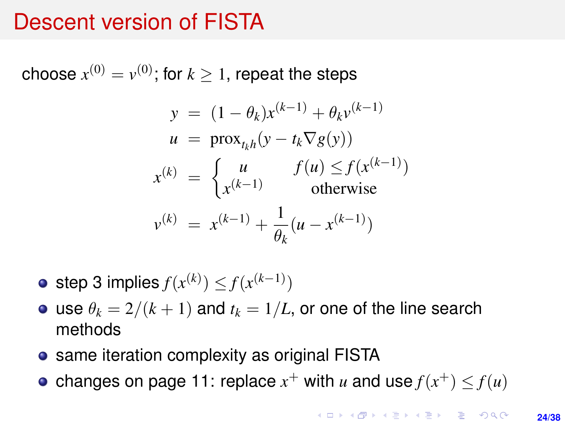### Descent version of FISTA

choose  $x^{(0)} = v^{(0)}$ ; for  $k \geq 1$ , repeat the steps

$$
y = (1 - \theta_k)x^{(k-1)} + \theta_k v^{(k-1)}
$$
  
\n
$$
u = \text{prox}_{t_k h}(y - t_k \nabla g(y))
$$
  
\n
$$
x^{(k)} = \begin{cases} u & f(u) \le f(x^{(k-1)}) \\ x^{(k-1)} & \text{otherwise} \end{cases}
$$
  
\n
$$
v^{(k)} = x^{(k-1)} + \frac{1}{\theta_k}(u - x^{(k-1)})
$$

step 3 implies  $f(x^{(k)}) \leq f(x^{(k-1)})$ 

- use  $\theta_k = 2/(k+1)$  and  $t_k = 1/L$ , or one of the line search methods
- same iteration complexity as original FISTA
- changes on page [11:](#page-10-0) replace  $x^+$  with  $u$  and use  $f(x^+) \leq f(u)$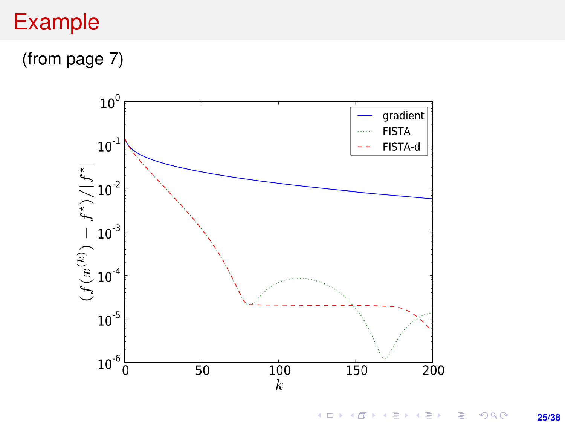# Example

(from page [7\)](#page-6-0)



イロメ 不優 メイミメイミメ 重  $299$ **25/38**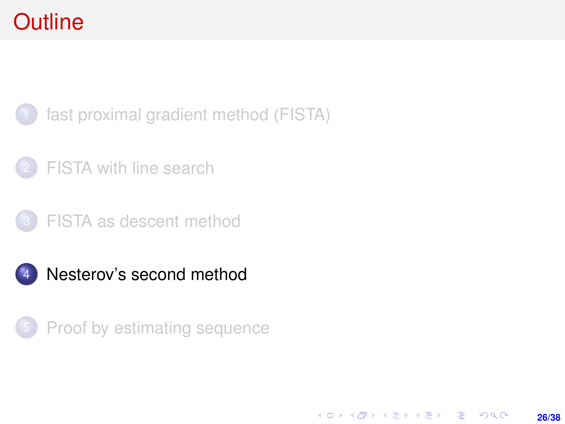# <span id="page-25-0"></span>**Outline**

[fast proximal gradient method \(FISTA\)](#page-1-0)

[FISTA with line search](#page-15-0)





4 [Nesterov's second method](#page-25-0)

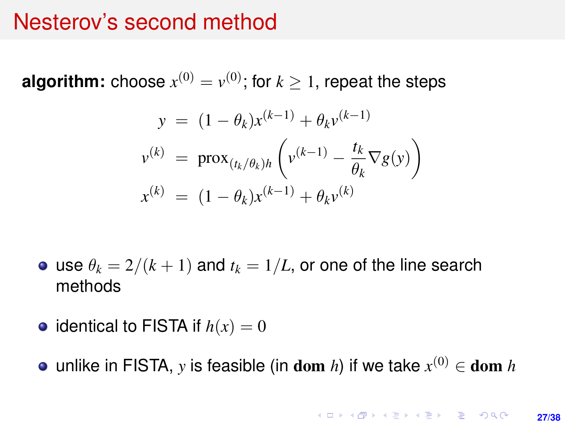### Nesterov's second method

**algorithm:** choose  $x^{(0)} = v^{(0)}$ ; for  $k \geq 1$ , repeat the steps

$$
y = (1 - \theta_k)x^{(k-1)} + \theta_k v^{(k-1)}
$$
  

$$
v^{(k)} = \text{prox}_{(t_k/\theta_k)h} \left( v^{(k-1)} - \frac{t_k}{\theta_k} \nabla g(y) \right)
$$
  

$$
x^{(k)} = (1 - \theta_k)x^{(k-1)} + \theta_k v^{(k)}
$$

- use  $\theta_k = 2/(k+1)$  and  $t_k = 1/L$ , or one of the line search methods
- identical to FISTA if  $h(x) = 0$
- unlike in FISTA,  $y$  is feasible (in dom  $h$ ) if we take  $x^{(0)} \in$  dom  $h$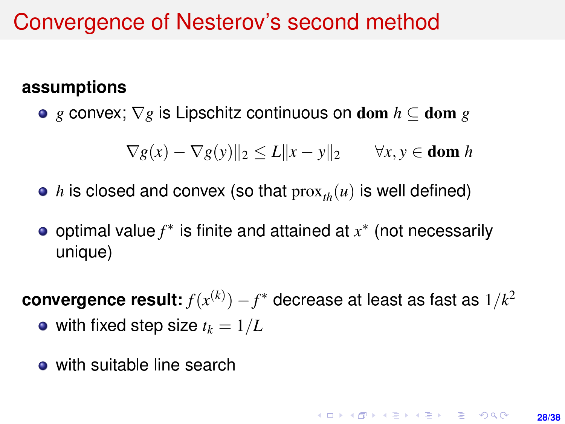### Convergence of Nesterov's second method

### **assumptions**

*g* convex; ∇*g* is Lipschitz continuous on dom *h* ⊆ dom *g*

 $\nabla g(x) - \nabla g(y)$ <sub>2</sub>  $\le L$ <sub>1</sub> $x - y$ <sub>1</sub> $\ge \forall x, y \in$  dom *h* 

- *h* is closed and convex (so that  $prox<sub>th</sub>(u)$  is well defined)
- optimal value *f* ∗ is finite and attained at *x* ∗ (not necessarily unique)

 $\,$  convergence result:  $f(x^{(k)}) - f^*$  decrease at least as fast as  $1/k^2$ • with fixed step size  $t_k = 1/L$ 

• with suitable line search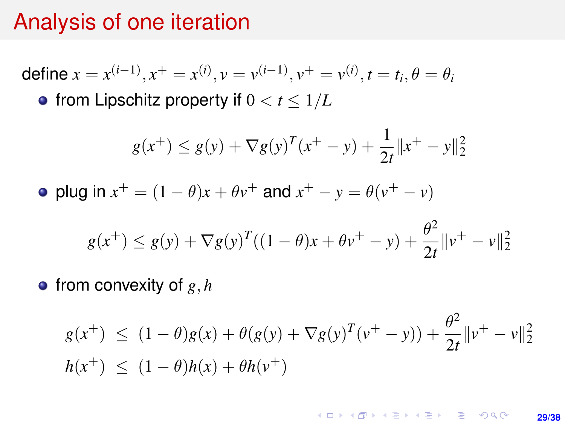### Analysis of one iteration

define  $x = x^{(i-1)}, x^+ = x^{(i)}, v = v^{(i-1)}, v^+ = v^{(i)}, t = t_i, \theta = \theta_i$ 

• from Lipschitz property if  $0 < t \leq 1/L$ 

$$
g(x^+) \le g(y) + \nabla g(y)^T (x^+ - y) + \frac{1}{2t} ||x^+ - y||_2^2
$$

plug in  $x^+ = (1 - \theta)x + \theta y^+$  and  $x^+ - y = \theta(y^+ - y)$ 

$$
g(x^+) \le g(y) + \nabla g(y)^T ((1 - \theta)x + \theta v^+ - y) + \frac{\theta^2}{2t} ||v^+ - v||_2^2
$$

 $\bullet$  from convexity of g, h

$$
g(x^+) \le (1 - \theta)g(x) + \theta(g(y) + \nabla g(y)^T(v^+ - y)) + \frac{\theta^2}{2t} ||v^+ - v||_2^2
$$
  

$$
h(x^+) \le (1 - \theta)h(x) + \theta h(v^+)
$$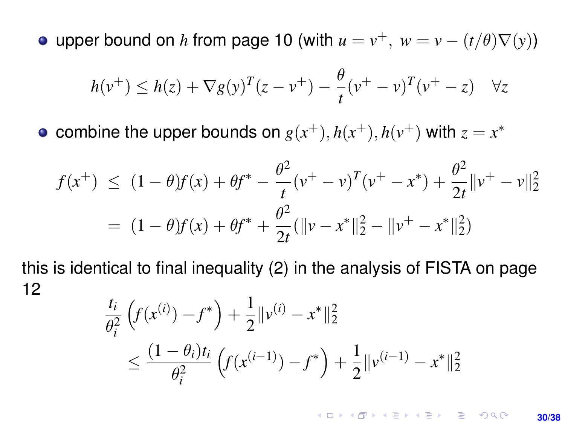<span id="page-29-0"></span>upper bound on *h* from page [10](#page-9-0) (with  $u = v^+$ ,  $w = v - (t/\theta)\nabla(y)$ )

$$
h(v^{+}) \leq h(z) + \nabla g(y)^{T} (z - v^{+}) - \frac{\theta}{t} (v^{+} - v)^{T} (v^{+} - z) \quad \forall z
$$

combine the upper bounds on  $g(x^+), h(x^+), h(v^+)$  with  $z = x^*$ 

$$
f(x^{+}) \le (1 - \theta)f(x) + \theta f^* - \frac{\theta^2}{t}(v^+ - v)^T(v^+ - x^*) + \frac{\theta^2}{2t}||v^+ - v||_2^2
$$
  
=  $(1 - \theta)f(x) + \theta f^* + \frac{\theta^2}{2t}(||v - x^*||_2^2 - ||v^+ - x^*||_2^2)$ 

this is identical to final inequality (2) in the analysis of FISTA on page [12](#page-11-0)

$$
\frac{t_i}{\theta_i^2} \left( f(x^{(i)}) - f^* \right) + \frac{1}{2} \| v^{(i)} - x^* \|_2^2
$$
\n
$$
\leq \frac{(1 - \theta_i)t_i}{\theta_i^2} \left( f(x^{(i-1)}) - f^* \right) + \frac{1}{2} \| v^{(i-1)} - x^* \|_2^2
$$

**KORKARKKERK E VAN 30/38**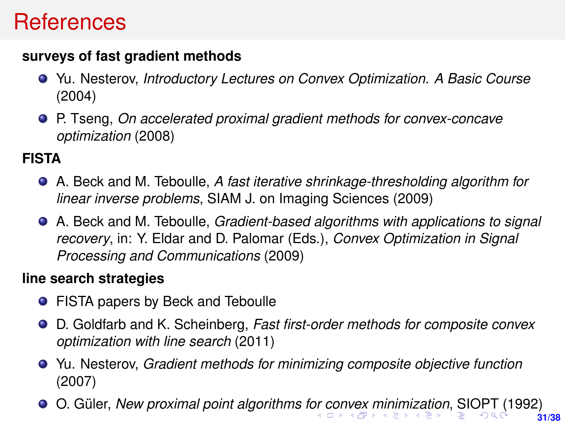### <span id="page-30-0"></span>**References**

#### **surveys of fast gradient methods**

- Yu. Nesterov, *Introductory Lectures on Convex Optimization. A Basic Course* (2004)
- P. Tseng, *On accelerated proximal gradient methods for convex-concave optimization* (2008)

#### **FISTA**

- A. Beck and M. Teboulle, *A fast iterative shrinkage-thresholding algorithm for linear inverse problems*, SIAM J. on Imaging Sciences (2009)
- A. Beck and M. Teboulle, *Gradient-based algorithms with applications to signal recovery*, in: Y. Eldar and D. Palomar (Eds.), *Convex Optimization in Signal Processing and Communications* (2009)

#### **line search strategies**

- **•** FISTA papers by Beck and Teboulle
- D. Goldfarb and K. Scheinberg, *Fast first-order methods for composite convex optimization with line search* (2011)
- Yu. Nesterov, *Gradient methods for minimizing composite objective function* (2007)
- **31/38** O. Güler, *New proximal point algorithms f[or c](#page-29-0)[on](#page-31-0)[v](#page-29-0)[ex](#page-30-0) [m](#page-31-0)[in](#page-0-0)[imi](#page-37-0)[za](#page-0-0)[tion](#page-37-0)*[,](#page-0-0) [SIO](#page-37-0)PT (1992)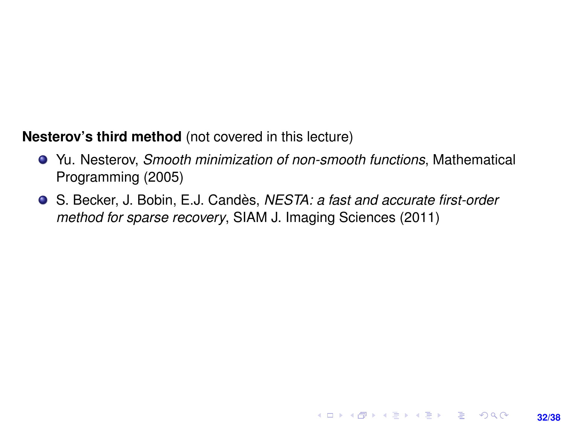#### <span id="page-31-0"></span>**Nesterov's third method** (not covered in this lecture)

Yu. Nesterov, *Smooth minimization of non-smooth functions*, Mathematical Programming (2005)

**32/38**

**KORKARKKERK E VAN** 

S. Becker, J. Bobin, E.J. Candès, *NESTA: a fast and accurate first-order method for sparse recovery*, SIAM J. Imaging Sciences (2011)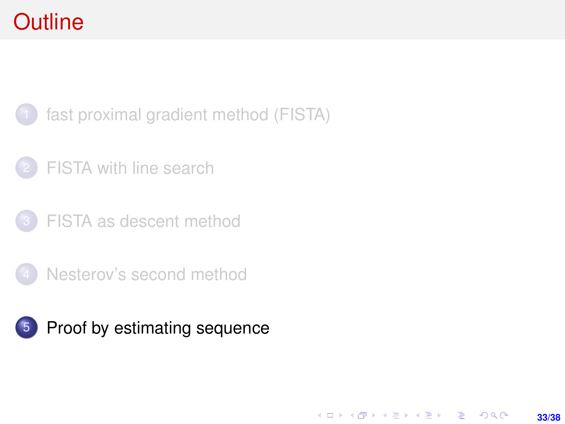# <span id="page-32-0"></span>**Outline**

[fast proximal gradient method \(FISTA\)](#page-1-0)

- [FISTA with line search](#page-15-0)
- [FISTA as descent method](#page-22-0)
- [Nesterov's second method](#page-25-0)

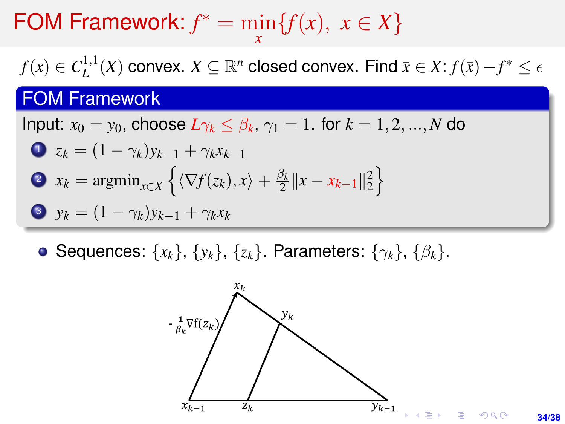# FOM Framework:  $f^* = \min_{x} {f(x), x \in X}$

 $f(x) \in C_L^{1,1}$  $L^{1,1}(X)$  convex.  $X \subseteq \mathbb{R}^n$  closed convex. Find  $\bar{x} \in X$ :  $f(\bar{x}) - f^* \leq \epsilon$ 

### FOM Framework

Input:  $x_0 = y_0$ , choose  $L\gamma_k \leq \beta_k$ ,  $\gamma_1 = 1$ . for  $k = 1, 2, ..., N$  do

\n- **1** 
$$
z_k = (1 - \gamma_k)y_{k-1} + \gamma_k x_{k-1}
$$
\n- **2**  $x_k = \text{argmin}_{x \in X} \left\{ \langle \nabla f(z_k), x \rangle + \frac{\beta_k}{2} ||x - x_{k-1}||_2^2 \right\}$
\n- **3**  $y_k = (1 - \gamma_k)y_{k-1} + \gamma_k x_k$
\n

• Sequences: { $x_k$ }, { $y_k$ }, { $z_k$ }. Parameters: { $γ_k$ }, { $β_k$ }.

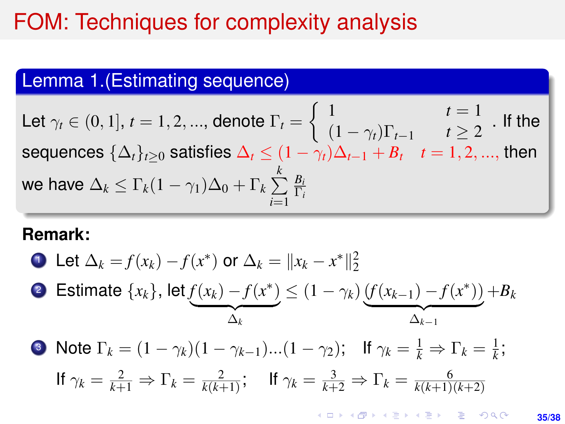### FOM: Techniques for complexity analysis

### Lemma 1.(Estimating sequence)

Let  $\gamma_t \in (0,1]$ ,  $t = 1, 2, ...,$  denote  $\Gamma_t = \left\{ \begin{array}{ll} 1 & t = 1, 2, ..., \end{array} \right.$  $(1 - \gamma_t)\Gamma_{t-1}$   $t \geq 2$  If the sequences  $\{\Delta_t\}_{t\geq 0}$  satisfies  $\Delta_t\leq (1-\gamma_t)\Delta_{t-1}+B_t\quad t=1,2,...,$  then we have  $\Delta_k \leq \Gamma_k (1-\gamma_1) \Delta_0 + \Gamma_k \sum\limits_{k=1}^k \delta_k$ *i*=1 *Bi* Γ*i*

#### **Remark:**

• Let 
$$
\Delta_k = f(x_k) - f(x^*)
$$
 or  $\Delta_k = ||x_k - x^*||_2^2$ 

• Estimate 
$$
\{x_k\}
$$
, let  $\underbrace{f(x_k) - f(x^*)}_{\Delta_k} \leq (1 - \gamma_k) \underbrace{(f(x_{k-1}) - f(x^*))}_{\Delta_{k-1}} + B_k$ 

\n- • Note 
$$
\Gamma_k = (1 - \gamma_k)(1 - \gamma_{k-1}) \dots (1 - \gamma_2);
$$
 If  $\gamma_k = \frac{1}{k} \Rightarrow \Gamma_k = \frac{1}{k};$  If  $\gamma_k = \frac{2}{k+1} \Rightarrow \Gamma_k = \frac{2}{k(k+1)};$  If  $\gamma_k = \frac{3}{k+2} \Rightarrow \Gamma_k = \frac{6}{k(k+1)(k+2)}$
\n

KID KAPIK KEIK KEN EL YOKO **35/38**

*k*(*k*+1)(*k*+2)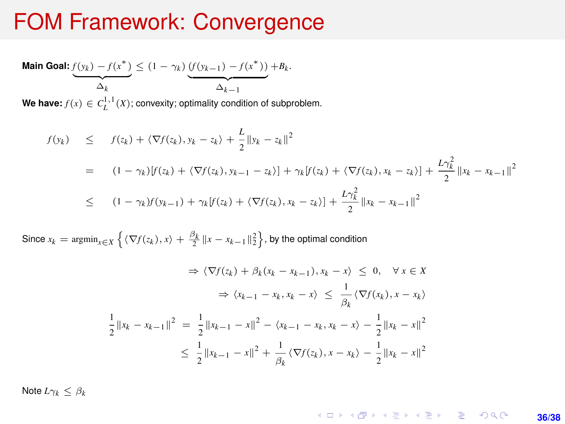### FOM Framework: Convergence

**Main Goal:**  $f(y_k) - f(x^*)$  $\Delta_k$  $\leq$  (1 − γ<sub>k</sub>) (*f*(y<sub>k−1</sub>) − *f*(x<sup>\*</sup>))  $\Delta_{k-1}$  $+B_k$ . We have:  $f(x) \in C_L^{1,1}(X)$ ; convexity; optimality condition of subproblem.

$$
f(y_k) \leq f(z_k) + \langle \nabla f(z_k), y_k - z_k \rangle + \frac{L}{2} \| y_k - z_k \|^2
$$
  
=  $(1 - \gamma_k) [f(z_k) + \langle \nabla f(z_k), y_{k-1} - z_k \rangle] + \gamma_k [f(z_k) + \langle \nabla f(z_k), x_k - z_k \rangle] + \frac{L \gamma_k^2}{2} \| x_k - x_{k-1} \|^2$   
 $\leq (1 - \gamma_k) f(y_{k-1}) + \gamma_k [f(z_k) + \langle \nabla f(z_k), x_k - z_k \rangle] + \frac{L \gamma_k^2}{2} \| x_k - x_{k-1} \|^2$ 

Since  $x_k = \text{argmin}_{x \in X} \left\{ \langle \nabla f(z_k), x \rangle + \frac{\beta_k}{2} ||x - x_{k-1}||_2^2 \right\}$ , by the optimal condition

$$
\Rightarrow \langle \nabla f(z_k) + \beta_k (x_k - x_{k-1}), x_k - x \rangle \le 0, \quad \forall x \in X
$$
  

$$
\Rightarrow \langle x_{k-1} - x_k, x_k - x \rangle \le \frac{1}{\beta_k} \langle \nabla f(x_k), x - x_k \rangle
$$
  

$$
\frac{1}{2} ||x_k - x_{k-1}||^2 = \frac{1}{2} ||x_{k-1} - x||^2 - \langle x_{k-1} - x_k, x_k - x \rangle - \frac{1}{2} ||x_k - x||^2
$$
  

$$
\le \frac{1}{2} ||x_{k-1} - x||^2 + \frac{1}{\beta_k} \langle \nabla f(z_k), x - x_k \rangle - \frac{1}{2} ||x_k - x||^2
$$

Note  $L\gamma_k < \beta_k$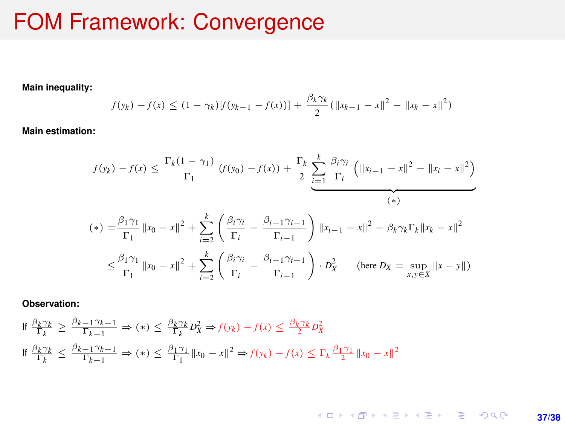### FOM Framework: Convergence

**Main inequality:**

$$
f(y_k) - f(x) \le (1 - \gamma_k)[f(y_{k-1} - f(x))] + \frac{\beta_k \gamma_k}{2} (\|x_{k-1} - x\|^2 - \|x_k - x\|^2)
$$

**Main estimation:**

$$
f(y_k) - f(x) \le \frac{\Gamma_k(1 - \gamma_1)}{\Gamma_1} (f(y_0) - f(x)) + \frac{\Gamma_k}{2} \sum_{i=1}^k \frac{\beta_i \gamma_i}{\Gamma_i} \left( ||x_{i-1} - x||^2 - ||x_i - x||^2 \right)
$$
  
\n
$$
(*) = \frac{\beta_1 \gamma_1}{\Gamma_1} ||x_0 - x||^2 + \sum_{i=2}^k \left( \frac{\beta_i \gamma_i}{\Gamma_i} - \frac{\beta_{i-1} \gamma_{i-1}}{\Gamma_{i-1}} \right) ||x_{i-1} - x||^2 - \beta_k \gamma_k \Gamma_k ||x_k - x||^2
$$
  
\n
$$
\le \frac{\beta_1 \gamma_1}{\Gamma_1} ||x_0 - x||^2 + \sum_{i=2}^k \left( \frac{\beta_i \gamma_i}{\Gamma_i} - \frac{\beta_{i-1} \gamma_{i-1}}{\Gamma_{i-1}} \right) \cdot D_X^2 \quad \text{(here } D_X = \sup_{x,y \in X} ||x - y||)
$$

**Observation:**

$$
\begin{aligned} \n\mathbf{H} \, &\frac{\beta_k \gamma_k}{\Gamma_k} \ge \frac{\beta_{k-1} \gamma_{k-1}}{\Gamma_{k-1}} \Rightarrow (*) \le \frac{\beta_k \gamma_k}{\Gamma_k} D_X^2 \Rightarrow f(y_k) - f(x) \le \frac{\beta_k \gamma_k}{2} D_X^2\\ \n\mathbf{H} \, &\frac{\beta_k \gamma_k}{\Gamma_k} \le \frac{\beta_{k-1} \gamma_{k-1}}{\Gamma_{k-1}} \Rightarrow (*) \le \frac{\beta_1 \gamma_1}{\Gamma_1} \, \|x_0 - x\|^2 \Rightarrow f(y_k) - f(x) \le \Gamma_k \frac{\beta_1 \gamma_1}{2} \, \|x_0 - x\|^2 \end{aligned}
$$

K ロ ▶ K @ ▶ K 할 ▶ K 할 ▶ 이 할 → 9 Q @ **37/38**